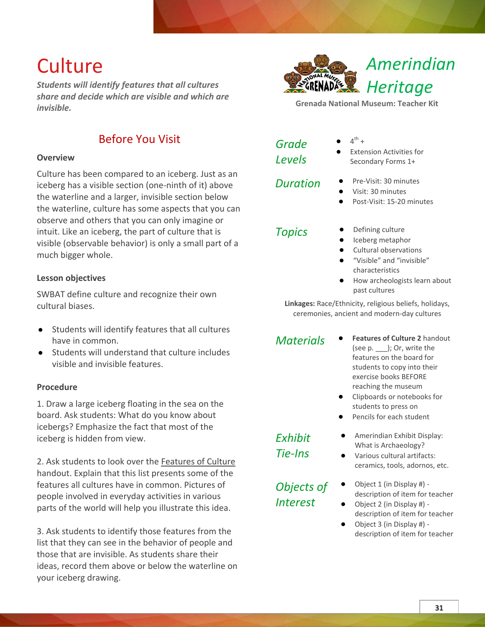# **Culture**

*Students will identify features that all cultures share and decide which are visible and which are invisible.*



## **Overview**

Culture has been compared to an iceberg. Just as an iceberg has a visible section (one-ninth of it) above the waterline and a larger, invisible section below the waterline, culture has some aspects that you can observe and others that you can only imagine or intuit. Like an iceberg, the part of culture that is visible (observable behavior) is only a small part of a much bigger whole.

# **Lesson objectives**

SWBAT define culture and recognize their own cultural biases.

- Students will identify features that all cultures have in common.
- Students will understand that culture includes visible and invisible features.

### **Procedure**

1. Draw a large iceberg floating in the sea on the board. Ask students: What do you know about icebergs? Emphasize the fact that most of the iceberg is hidden from view.

2. Ask students to look over the Features of Culture handout. Explain that this list presents some of the features all cultures have in common. Pictures of people involved in everyday activities in various parts of the world will help you illustrate this idea.

3. Ask students to identify those features from the list that they can see in the behavior of people and those that are invisible. As students share their ideas, record them above or below the waterline on your iceberg drawing.



**Grenada National Museum: Teacher Kit**

| Grade         |  |
|---------------|--|
| <b>Levels</b> |  |

 $\bullet$  4<sup>th</sup> +

**Extension Activities for** Secondary Forms 1+

- *Duration* **●** Pre-Visit: 30 minutes
	- **●** Visit: 30 minutes
	- **●** Post-Visit: 15-20 minutes

- *Topics* **●** Defining culture
	- **●** Iceberg metaphor
	- **●** Cultural observations
	- **●** "Visible" and "invisible" characteristics
	- **●** How archeologists learn about past cultures

**Linkages:** Race/Ethnicity, religious beliefs, holidays, ceremonies, ancient and modern-day cultures

- *Materials* **● Features of Culture 2** handout (see p. \_\_\_); Or, write the features on the board for students to copy into their exercise books BEFORE reaching the museum
	- **●** Clipboards or notebooks for students to press on
	- **●** Pencils for each student

*Exhibit Tie-Ins*

*Objects of Interest*

- **●** Amerindian Exhibit Display: What is Archaeology?
- **●** Various cultural artifacts: ceramics, tools, adornos, etc.
- **●** Object 1 (in Display #) description of item for teacher
- **●** Object 2 (in Display #) description of item for teacher
- **●** Object 3 (in Display #) description of item for teacher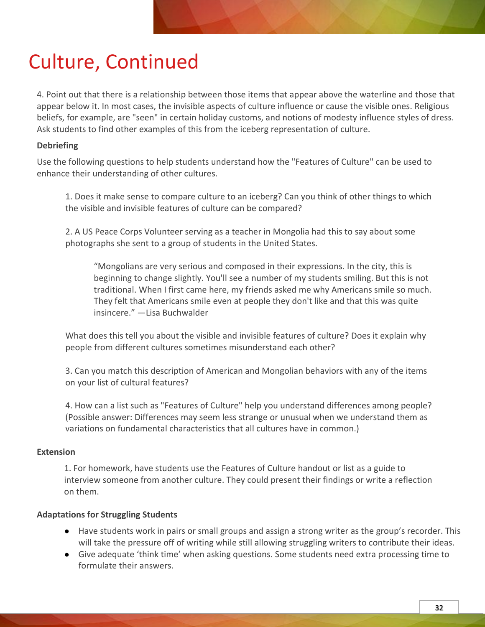# Culture, Continued

4. Point out that there is a relationship between those items that appear above the waterline and those that appear below it. In most cases, the invisible aspects of culture influence or cause the visible ones. Religious beliefs, for example, are "seen" in certain holiday customs, and notions of modesty influence styles of dress. Ask students to find other examples of this from the iceberg representation of culture.

# **Debriefing**

Use the following questions to help students understand how the "Features of Culture" can be used to enhance their understanding of other cultures.

1. Does it make sense to compare culture to an iceberg? Can you think of other things to which the visible and invisible features of culture can be compared?

2. A US Peace Corps Volunteer serving as a teacher in Mongolia had this to say about some photographs she sent to a group of students in the United States.

"Mongolians are very serious and composed in their expressions. In the city, this is beginning to change slightly. You'll see a number of my students smiling. But this is not traditional. When I first came here, my friends asked me why Americans smile so much. They felt that Americans smile even at people they don't like and that this was quite insincere." —Lisa Buchwalder

What does this tell you about the visible and invisible features of culture? Does it explain why people from different cultures sometimes misunderstand each other?

3. Can you match this description of American and Mongolian behaviors with any of the items on your list of cultural features?

4. How can a list such as "Features of Culture" help you understand differences among people? (Possible answer: Differences may seem less strange or unusual when we understand them as variations on fundamental characteristics that all cultures have in common.)

### **Extension**

1. For homework, have students use the Features of Culture handout or list as a guide to interview someone from another culture. They could present their findings or write a reflection on them.

# **Adaptations for Struggling Students**

- Have students work in pairs or small groups and assign a strong writer as the group's recorder. This will take the pressure off of writing while still allowing struggling writers to contribute their ideas.
- Give adequate 'think time' when asking questions. Some students need extra processing time to formulate their answers.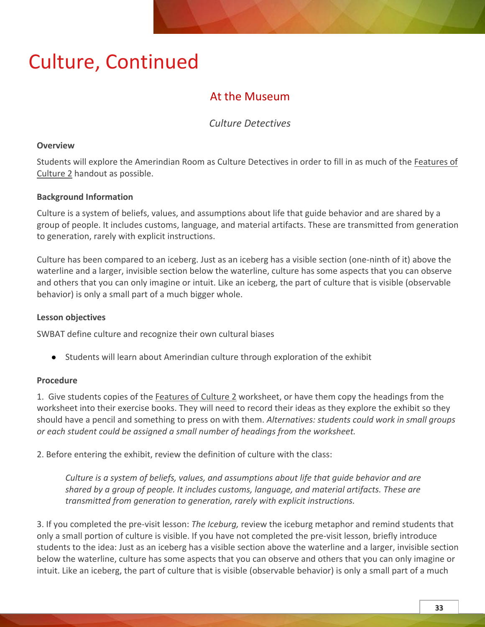# Culture, Continued

# At the Museum

# *Culture Detectives*

## **Overview**

Students will explore the Amerindian Room as Culture Detectives in order to fill in as much of the Features of Culture 2 handout as possible.

# **Background Information**

Culture is a system of beliefs, values, and assumptions about life that guide behavior and are shared by a group of people. It includes customs, language, and material artifacts. These are transmitted from generation to generation, rarely with explicit instructions.

Culture has been compared to an iceberg. Just as an iceberg has a visible section (one-ninth of it) above the waterline and a larger, invisible section below the waterline, culture has some aspects that you can observe and others that you can only imagine or intuit. Like an iceberg, the part of culture that is visible (observable behavior) is only a small part of a much bigger whole.

# **Lesson objectives**

SWBAT define culture and recognize their own cultural biases

● Students will learn about Amerindian culture through exploration of the exhibit

# **Procedure**

1. Give students copies of the Features of Culture 2 worksheet, or have them copy the headings from the worksheet into their exercise books. They will need to record their ideas as they explore the exhibit so they should have a pencil and something to press on with them. *Alternatives: students could work in small groups or each student could be assigned a small number of headings from the worksheet.*

2. Before entering the exhibit, review the definition of culture with the class:

*Culture is a system of beliefs, values, and assumptions about life that guide behavior and are shared by a group of people. It includes customs, language, and material artifacts. These are transmitted from generation to generation, rarely with explicit instructions.*

3. If you completed the pre-visit lesson: *The Iceburg,* review the iceburg metaphor and remind students that only a small portion of culture is visible. If you have not completed the pre-visit lesson, briefly introduce students to the idea: Just as an iceberg has a visible section above the waterline and a larger, invisible section below the waterline, culture has some aspects that you can observe and others that you can only imagine or intuit. Like an iceberg, the part of culture that is visible (observable behavior) is only a small part of a much